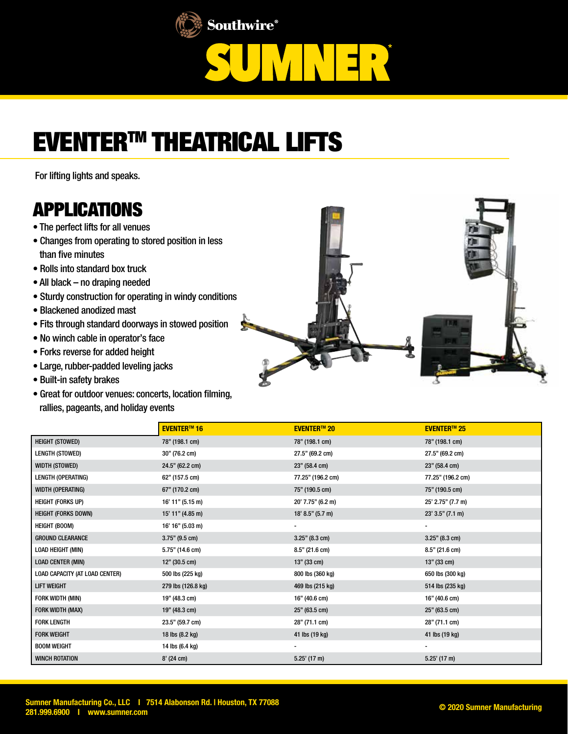

## EVENTERTM THEATRICAL LIFTS

For lifting lights and speaks.

## APPLICATIONS

- The perfect lifts for all venues
- Changes from operating to stored position in less than five minutes
- Rolls into standard box truck
- All black no draping needed
- Sturdy construction for operating in windy conditions
- Blackened anodized mast
- Fits through standard doorways in stowed position
- No winch cable in operator's face
- Forks reverse for added height
- Large, rubber-padded leveling jacks
- Built-in safety brakes
- Great for outdoor venues: concerts, location filming, rallies, pageants, and holiday events



|                                | <b>EVENTER™16</b>  | <b>EVENTER™ 20</b> | <b>EVENTER™ 25</b> |
|--------------------------------|--------------------|--------------------|--------------------|
| <b>HEIGHT (STOWED)</b>         | 78" (198.1 cm)     | 78" (198.1 cm)     | 78" (198.1 cm)     |
| LENGTH (STOWED)                | 30" (76.2 cm)      | 27.5" (69.2 cm)    | 27.5" (69.2 cm)    |
| WIDTH (STOWED)                 | 24.5" (62.2 cm)    | 23" (58.4 cm)      | 23" (58.4 cm)      |
| LENGTH (OPERATING)             | 62" (157.5 cm)     | 77.25" (196.2 cm)  | 77.25" (196.2 cm)  |
| WIDTH (OPERATING)              | 67" (170.2 cm)     | 75" (190.5 cm)     | 75" (190.5 cm)     |
| <b>HEIGHT (FORKS UP)</b>       | $16'$ 11" (5.15 m) | 20' 7.75" (6.2 m)  | 25' 2.75" (7.7 m)  |
| <b>HEIGHT (FORKS DOWN)</b>     | 15' 11" (4.85 m)   | 18' 8.5'' (5.7 m)  | $23'$ 3.5" (7.1 m) |
| <b>HEIGHT (BOOM)</b>           | 16' 16'' (5.03 m)  |                    |                    |
| <b>GROUND CLEARANCE</b>        | $3.75"$ (9.5 cm)   | 3.25" (8.3 cm)     | $3.25"$ (8.3 cm)   |
| LOAD HEIGHT (MIN)              | 5.75" (14.6 cm)    | $8.5"$ (21.6 cm)   | $8.5"$ (21.6 cm)   |
| <b>LOAD CENTER (MIN)</b>       | 12" (30.5 cm)      | 13" (33 cm)        | 13" (33 cm)        |
| LOAD CAPACITY (AT LOAD CENTER) | 500 lbs (225 kg)   | 800 lbs (360 kg)   | 650 lbs (300 kg)   |
| <b>LIFT WEIGHT</b>             | 279 lbs (126.8 kg) | 469 lbs (215 kg)   | 514 lbs (235 kg)   |
| FORK WIDTH (MIN)               | 19" (48.3 cm)      | 16" (40.6 cm)      | 16" (40.6 cm)      |
| FORK WIDTH (MAX)               | 19" (48.3 cm)      | 25" (63.5 cm)      | 25" (63.5 cm)      |
| <b>FORK LENGTH</b>             | 23.5" (59.7 cm)    | 28" (71.1 cm)      | 28" (71.1 cm)      |
| <b>FORK WEIGHT</b>             | 18 lbs (8.2 kg)    | 41 lbs (19 kg)     | 41 lbs (19 kg)     |
| <b>BOOM WEIGHT</b>             | 14 lbs (6.4 kg)    |                    |                    |
| <b>WINCH ROTATION</b>          | $8'$ (24 cm)       | $5.25'$ (17 m)     | $5.25'$ (17 m)     |